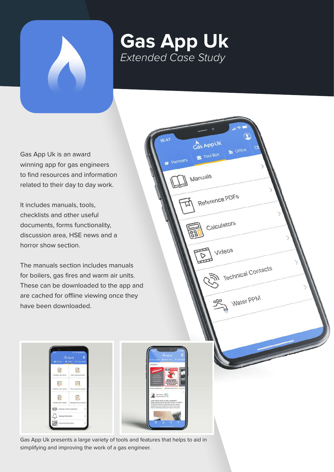

## **Gas App Uk**  *Extended Case Study*

Partners

Cas AppUk Tool Box

Manuals

Reference PDFs

Calculators

Videos

Technical Contacts

Water PPM

Gas App Uk is an award winning app for gas engineers to find resources and information related to their day to day work.

It includes manuals, tools, checklists and other useful documents, forms functionality, discussion area, HSE news and a horror show section.

The manuals section includes manuals for boilers, gas fires and warm air units. These can be downloaded to the app and are cached for offline viewing once they have been downloaded.



Gas App Uk presents a large variety of tools and features that helps to aid in simplifying and improving the work of a gas engineer.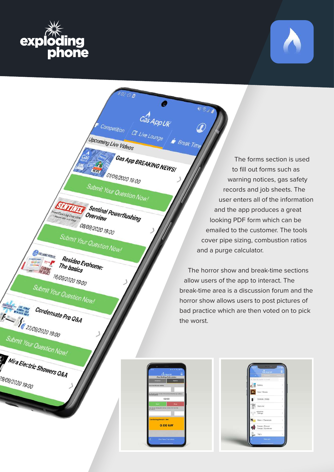



<sup>1</sup> Gas App BREAKING NEWS! **REAS** 01/09/2020 19:00

**Submit Your Question Now!** 

Sentinel Powerflushing

Overview

08/09/2020 19:00

Submit Your Question Now!

Competition

pcoming Live Videos

Cas APPUK

**b** Break Time

DO Live Lounge

Resideo Evohome: The basics

16/09/2020 19:00

Submit Your Question Now!

Condensate Pro Q&A  $E = \frac{1}{\sqrt{\frac{22209}{20200}}}}$ 

Submit Your Question Now!

O UNELOUISE FRESENTS.

Mira Electric Showers Q&A

29/09/2020 19:00

The forms section is used to fill out forms such as warning notices, gas safety records and job sheets. The user enters all of the information and the app produces a great looking PDF form which can be emailed to the customer. The tools cover pipe sizing, combustion ratios and a purge calculator.

The horror show and break-time sections allow users of the app to interact. The break-time area is a discussion forum and the horror show allows users to post pictures of bad practice which are then voted on to pick the worst.

|                                                                 | Cas App UK                   |  |
|-----------------------------------------------------------------|------------------------------|--|
|                                                                 | <b>Cas Rating Calculator</b> |  |
| Imperial                                                        | Matric                       |  |
| <b>Vox e the kidst gas toothing</b>                             |                              |  |
|                                                                 |                              |  |
| the the time below to the Cremato front for trial governming in |                              |  |
|                                                                 | 02:00                        |  |
|                                                                 |                              |  |
| Stat                                                            | Ston                         |  |
| REAL OR SHOW HATES STATES AND A 2 STOLEN ROW CHARGE             |                              |  |
|                                                                 |                              |  |
| <b>Gas Sating Secult + Net</b>                                  |                              |  |
|                                                                 |                              |  |
|                                                                 | $0.00$ kW                    |  |
|                                                                 |                              |  |
|                                                                 |                              |  |
|                                                                 | Gas Rate Calculator          |  |

| CO APP UN<br>w                     |    |
|------------------------------------|----|
| C. We SCRITTE IT FOOD              |    |
| Bosers                             | s  |
| Fires / Stoves                     | 55 |
| Controls / Stats                   | y. |
| .<br>Marm Air                      | 5  |
| <b>John Smith</b><br>Fittings      | 5  |
| Filters / Chemicals                | 5  |
| Pumps / Shower<br>Pumps / Condense | ö  |
| TRV's                              | 5  |
| Manuale                            |    |